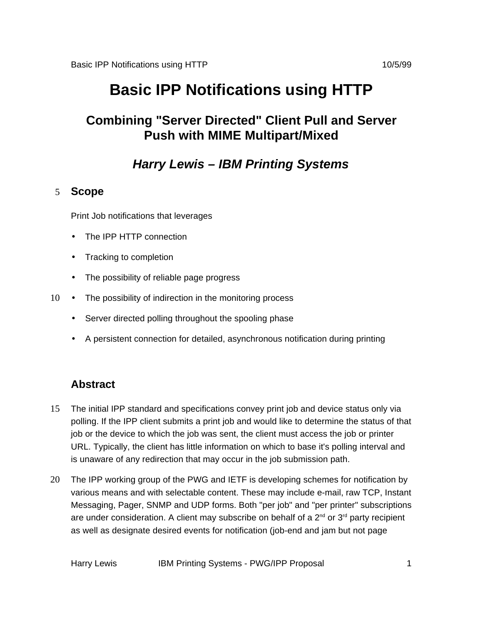# **Basic IPP Notifications using HTTP**

## **Combining "Server Directed" Client Pull and Server Push with MIME Multipart/Mixed**

## *Harry Lewis – IBM Printing Systems*

#### **Scope** 5

Print Job notifications that leverages

- The IPP HTTP connection
- Tracking to completion
- The possibility of reliable page progress
- 10 The possibility of indirection in the monitoring process
	- Server directed polling throughout the spooling phase
	- A persistent connection for detailed, asynchronous notification during printing

## **Abstract**

- The initial IPP standard and specifications convey print job and device status only via polling. If the IPP client submits a print job and would like to determine the status of that job or the device to which the job was sent, the client must access the job or printer URL. Typically, the client has little information on which to base it's polling interval and is unaware of any redirection that may occur in the job submission path. 15
- The IPP working group of the PWG and IETF is developing schemes for notification by various means and with selectable content. These may include e-mail, raw TCP, Instant Messaging, Pager, SNMP and UDP forms. Both "per job" and "per printer" subscriptions are under consideration. A client may subscribe on behalf of a  $2^{nd}$  or  $3^{rd}$  party recipient as well as designate desired events for notification (job-end and jam but not page 20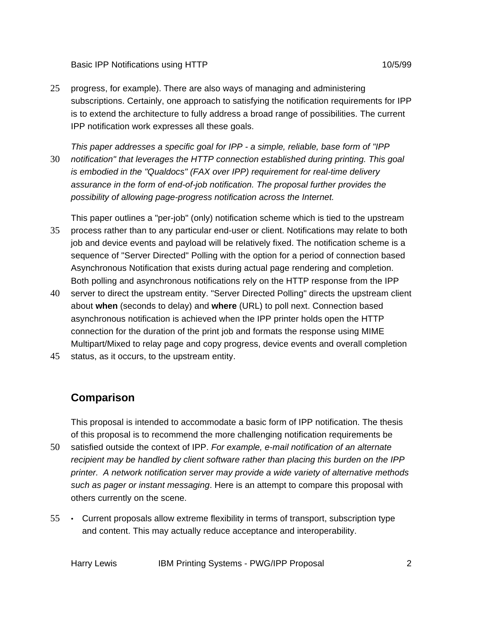Basic IPP Notifications using HTTP 10/5/99

- progress, for example). There are also ways of managing and administering subscriptions. Certainly, one approach to satisfying the notification requirements for IPP is to extend the architecture to fully address a broad range of possibilities. The current IPP notification work expresses all these goals. 25
- *This paper addresses a specific goal for IPP a simple, reliable, base form of "IPP notification" that leverages the HTTP connection established during printing. This goal is embodied in the "Qualdocs" (FAX over IPP) requirement for real-time delivery assurance in the form of end-of-job notification. The proposal further provides the possibility of allowing page-progress notification across the Internet.*  30

This paper outlines a "per-job" (only) notification scheme which is tied to the upstream process rather than to any particular end-user or client. Notifications may relate to both job and device events and payload will be relatively fixed. The notification scheme is a sequence of "Server Directed" Polling with the option for a period of connection based Asynchronous Notification that exists during actual page rendering and completion. Both polling and asynchronous notifications rely on the HTTP response from the IPP 35

- server to direct the upstream entity. "Server Directed Polling" directs the upstream client about **when** (seconds to delay) and **where** (URL) to poll next. Connection based asynchronous notification is achieved when the IPP printer holds open the HTTP connection for the duration of the print job and formats the response using MIME Multipart/Mixed to relay page and copy progress, device events and overall completion 40
- status, as it occurs, to the upstream entity. 45

## **Comparison**

This proposal is intended to accommodate a basic form of IPP notification. The thesis of this proposal is to recommend the more challenging notification requirements be

- satisfied outside the context of IPP. *For example, e-mail notification of an alternate recipient may be handled by client software rather than placing this burden on the IPP printer. A network notification server may provide a wide variety of alternative methods such as pager or instant messaging*. Here is an attempt to compare this proposal with others currently on the scene. 50
- 55 Current proposals allow extreme flexibility in terms of transport, subscription type and content. This may actually reduce acceptance and interoperability.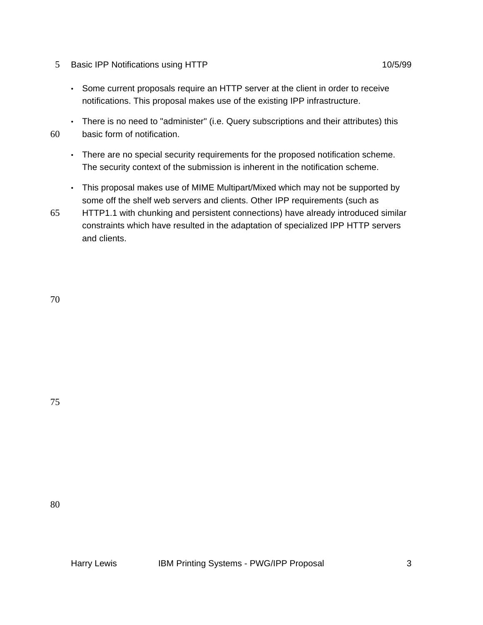- 5 Basic IPP Notifications using HTTP 10/5/99
	- Some current proposals require an HTTP server at the client in order to receive notifications. This proposal makes use of the existing IPP infrastructure.
	- There is no need to "administer" (i.e. Query subscriptions and their attributes) this basic form of notification.
		- There are no special security requirements for the proposed notification scheme. The security context of the submission is inherent in the notification scheme.
	- This proposal makes use of MIME Multipart/Mixed which may not be supported by some off the shelf web servers and clients. Other IPP requirements (such as
- HTTP1.1 with chunking and persistent connections) have already introduced similar constraints which have resulted in the adaptation of specialized IPP HTTP servers and clients. 65

70

60

75

80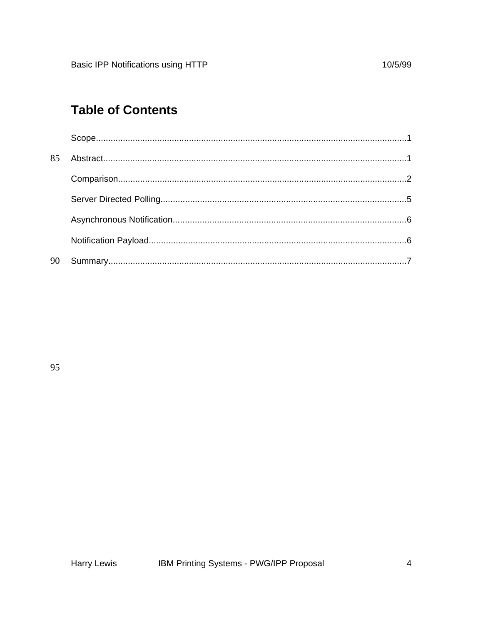| 85 |  |
|----|--|
|    |  |
|    |  |
|    |  |
|    |  |
| 90 |  |

95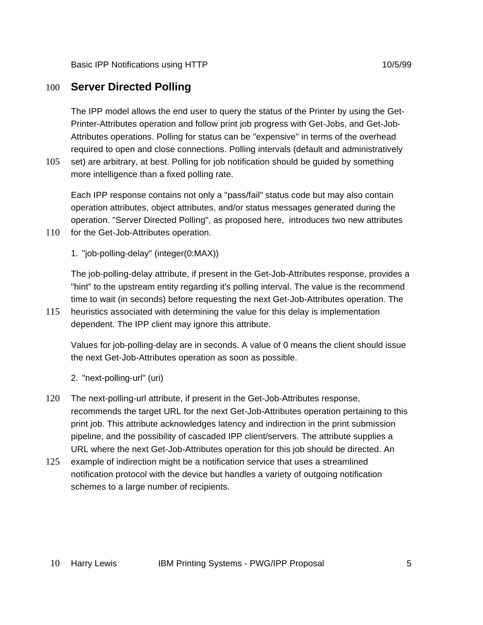Basic IPP Notifications using HTTP 10/5/99

#### **Server Directed Polling** 100

The IPP model allows the end user to query the status of the Printer by using the Get-Printer-Attributes operation and follow print job progress with Get-Jobs, and Get-Job-Attributes operations. Polling for status can be "expensive" in terms of the overhead required to open and close connections. Polling intervals (default and administratively

set) are arbitrary, at best. Polling for job notification should be guided by something more intelligence than a fixed polling rate. 105

Each IPP response contains not only a "pass/fail" status code but may also contain operation attributes, object attributes, and/or status messages generated during the operation. "Server Directed Polling", as proposed here, introduces two new attributes

110 for the Get-Job-Attributes operation.

1. "job-polling-delay" (integer(0:MAX))

The job-polling-delay attribute, if present in the Get-Job-Attributes response, provides a "hint" to the upstream entity regarding it's polling interval. The value is the recommend time to wait (in seconds) before requesting the next Get-Job-Attributes operation. The

heuristics associated with determining the value for this delay is implementation dependent. The IPP client may ignore this attribute. 115

Values for job-polling-delay are in seconds. A value of 0 means the client should issue the next Get-Job-Attributes operation as soon as possible.

2. "next-polling-url" (uri)

- The next-polling-url attribute, if present in the Get-Job-Attributes response, recommends the target URL for the next Get-Job-Attributes operation pertaining to this print job. This attribute acknowledges latency and indirection in the print submission pipeline, and the possibility of cascaded IPP client/servers. The attribute supplies a URL where the next Get-Job-Attributes operation for this job should be directed. An 120
- example of indirection might be a notification service that uses a streamlined notification protocol with the device but handles a variety of outgoing notification schemes to a large number of recipients. 125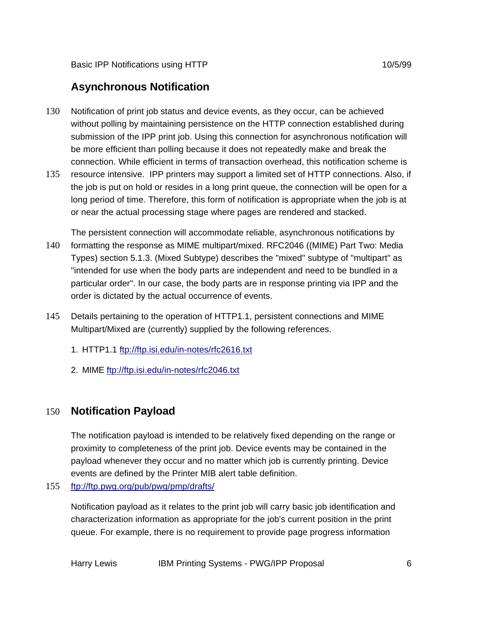## **Asynchronous Notification**

- Notification of print job status and device events, as they occur, can be achieved without polling by maintaining persistence on the HTTP connection established during submission of the IPP print job. Using this connection for asynchronous notification will be more efficient than polling because it does not repeatedly make and break the connection. While efficient in terms of transaction overhead, this notification scheme is 130
- resource intensive. IPP printers may support a limited set of HTTP connections. Also, if the job is put on hold or resides in a long print queue, the connection will be open for a long period of time. Therefore, this form of notification is appropriate when the job is at or near the actual processing stage where pages are rendered and stacked. 135

The persistent connection will accommodate reliable, asynchronous notifications by formatting the response as MIME multipart/mixed. RFC2046 ((MIME) Part Two: Media Types) section 5.1.3. (Mixed Subtype) describes the "mixed" subtype of "multipart" as "intended for use when the body parts are independent and need to be bundled in a particular order". In our case, the body parts are in response printing via IPP and the order is dictated by the actual occurrence of events. 140

- Details pertaining to the operation of HTTP1.1, persistent connections and MIME Multipart/Mixed are (currently) supplied by the following references. 145
	- 1. HTTP1.1 ftp://ftp.isi.edu/in-notes/rfc2616.txt
	- 2. MIME ftp://ftp.isi.edu/in-notes/rfc2046.txt

#### **Notification Payload** 150

The notification payload is intended to be relatively fixed depending on the range or proximity to completeness of the print job. Device events may be contained in the payload whenever they occur and no matter which job is currently printing. Device events are defined by the Printer MIB alert table definition.

#### ftp://ftp.pwg.org/pub/pwg/pmp/drafts/ 155

Notification payload as it relates to the print job will carry basic job identification and characterization information as appropriate for the job's current position in the print queue. For example, there is no requirement to provide page progress information